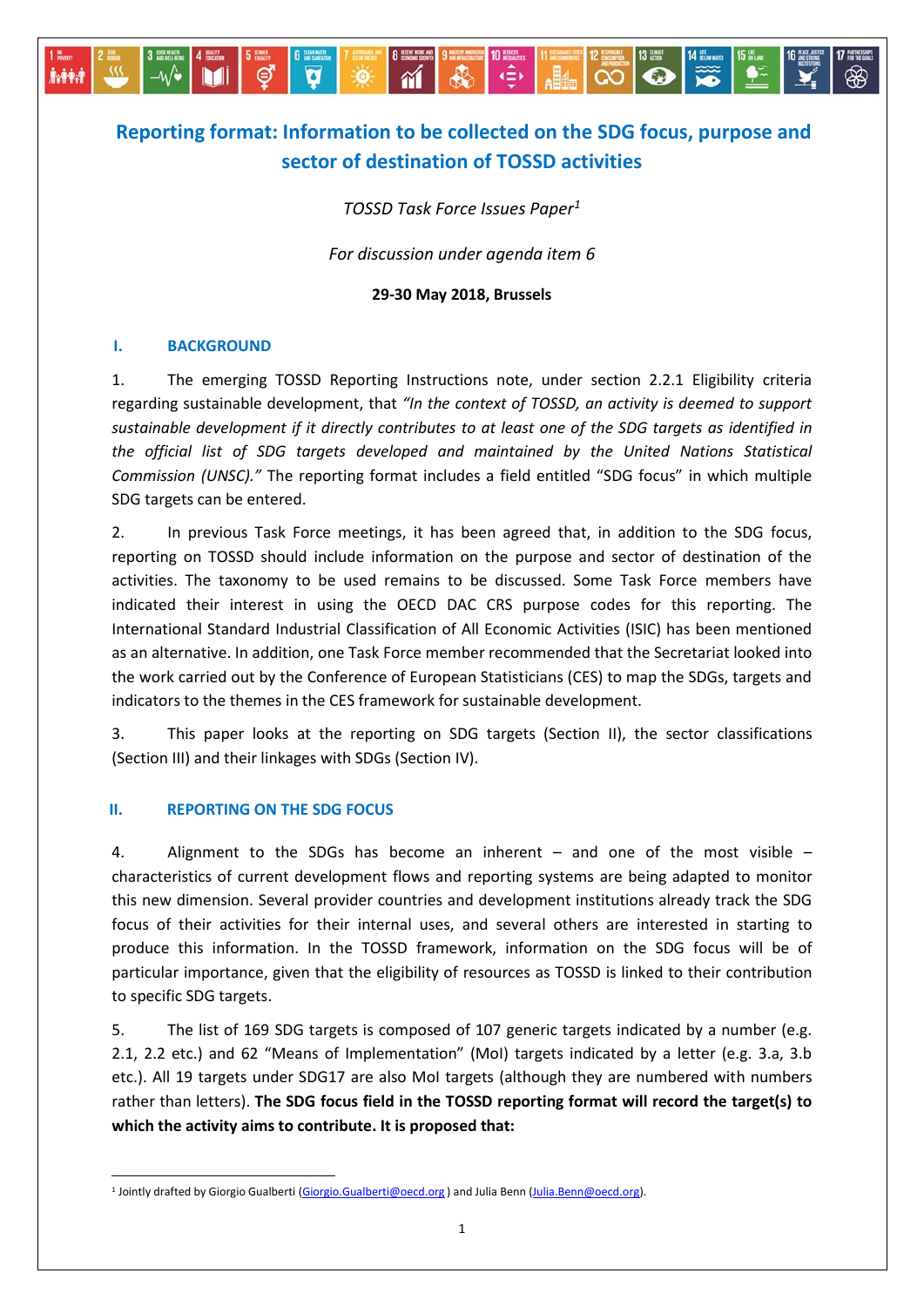# **Reporting format: Information to be collected on the SDG focus, purpose and sector of destination of TOSSD activities**

 $\mathbf{M}$ 

 $\overline{\mathbf{v}}$ 

ල

 $\ddot{\bullet}$ 

 $\langle \frac{2}{\sqrt{3}} \rangle$ 

 $\mathbf{H}$ 

 $\bullet$ 

*TOSSD Task Force Issues Paper<sup>1</sup>*

*For discussion under agenda item 6*

**29-30 May 2018, Brussels**

### **I. BACKGROUND**

M

**İvitid** 

1. The emerging TOSSD Reporting Instructions note, under section 2.2.1 Eligibility criteria regarding sustainable development, that *"In the context of TOSSD, an activity is deemed to support sustainable development if it directly contributes to at least one of the SDG targets as identified in the official list of SDG targets developed and maintained by the United Nations Statistical Commission (UNSC)."* The reporting format includes a field entitled "SDG focus" in which multiple SDG targets can be entered.

2. In previous Task Force meetings, it has been agreed that, in addition to the SDG focus, reporting on TOSSD should include information on the purpose and sector of destination of the activities. The taxonomy to be used remains to be discussed. Some Task Force members have indicated their interest in using the OECD DAC CRS purpose codes for this reporting. The International Standard Industrial Classification of All Economic Activities (ISIC) has been mentioned as an alternative. In addition, one Task Force member recommended that the Secretariat looked into the work carried out by the Conference of European Statisticians (CES) to map the SDGs, targets and indicators to the themes in the CES framework for sustainable development.

3. This paper looks at the reporting on SDG targets (Section II), the sector classifications (Section III) and their linkages with SDGs (Section IV).

### **II. REPORTING ON THE SDG FOCUS**

4. Alignment to the SDGs has become an inherent – and one of the most visible – characteristics of current development flows and reporting systems are being adapted to monitor this new dimension. Several provider countries and development institutions already track the SDG focus of their activities for their internal uses, and several others are interested in starting to produce this information. In the TOSSD framework, information on the SDG focus will be of particular importance, given that the eligibility of resources as TOSSD is linked to their contribution to specific SDG targets.

5. The list of 169 SDG targets is composed of 107 generic targets indicated by a number (e.g. 2.1, 2.2 etc.) and 62 "Means of Implementation" (MoI) targets indicated by a letter (e.g. 3.a, 3.b etc.). All 19 targets under SDG17 are also MoI targets (although they are numbered with numbers rather than letters). **The SDG focus field in the TOSSD reporting format will record the target(s) to which the activity aims to contribute. It is proposed that:**

 $\overline{\phantom{a}}$ <sup>1</sup> Jointly drafted by Giorgio Gualberti [\(Giorgio.Gualberti@oecd.org](mailto:Giorgio.Gualberti@oecd.org)) and Julia Benn [\(Julia.Benn@oecd.org\)](mailto:Julia.Benn@oecd.org).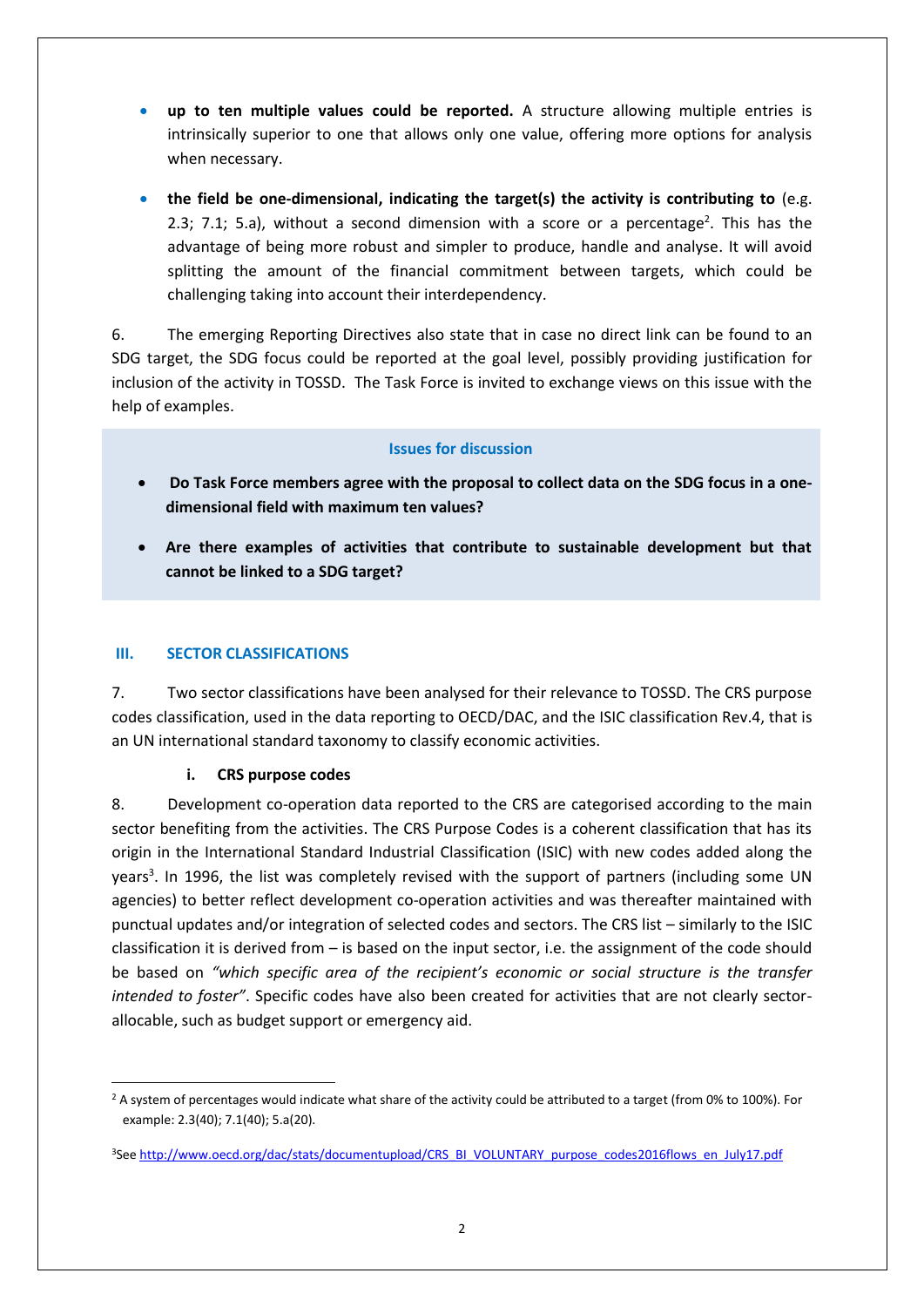- **up to ten multiple values could be reported.** A structure allowing multiple entries is intrinsically superior to one that allows only one value, offering more options for analysis when necessary.
- **the field be one-dimensional, indicating the target(s) the activity is contributing to** (e.g. 2.3; 7.1; 5.a), without a second dimension with a score or a percentage<sup>2</sup>. This has the advantage of being more robust and simpler to produce, handle and analyse. It will avoid splitting the amount of the financial commitment between targets, which could be challenging taking into account their interdependency.

6. The emerging Reporting Directives also state that in case no direct link can be found to an SDG target, the SDG focus could be reported at the goal level, possibly providing justification for inclusion of the activity in TOSSD. The Task Force is invited to exchange views on this issue with the help of examples.

#### **Issues for discussion**

- **Do Task Force members agree with the proposal to collect data on the SDG focus in a onedimensional field with maximum ten values?**
- **Are there examples of activities that contribute to sustainable development but that cannot be linked to a SDG target?**

### **III. SECTOR CLASSIFICATIONS**

7. Two sector classifications have been analysed for their relevance to TOSSD. The CRS purpose codes classification, used in the data reporting to OECD/DAC, and the ISIC classification Rev.4, that is an UN international standard taxonomy to classify economic activities.

**i. CRS purpose codes**

8. Development co-operation data reported to the CRS are categorised according to the main sector benefiting from the activities. The CRS Purpose Codes is a coherent classification that has its origin in the International Standard Industrial Classification (ISIC) with new codes added along the years<sup>3</sup>. In 1996, the list was completely revised with the support of partners (including some UN agencies) to better reflect development co-operation activities and was thereafter maintained with punctual updates and/or integration of selected codes and sectors. The CRS list – similarly to the ISIC classification it is derived from – is based on the input sector, i.e. the assignment of the code should be based on *"which specific area of the recipient's economic or social structure is the transfer intended to foster"*. Specific codes have also been created for activities that are not clearly sectorallocable, such as budget support or emergency aid.

 $\overline{\phantom{a}}$ <sup>2</sup> A system of percentages would indicate what share of the activity could be attributed to a target (from 0% to 100%). For example: 2.3(40); 7.1(40); 5.a(20).

<sup>3</sup>Se[e http://www.oecd.org/dac/stats/documentupload/CRS\\_BI\\_VOLUNTARY\\_purpose\\_codes2016flows\\_en\\_July17.pdf](http://www.oecd.org/dac/stats/documentupload/CRS_BI_VOLUNTARY_purpose_codes2016flows_en_July17.pdf)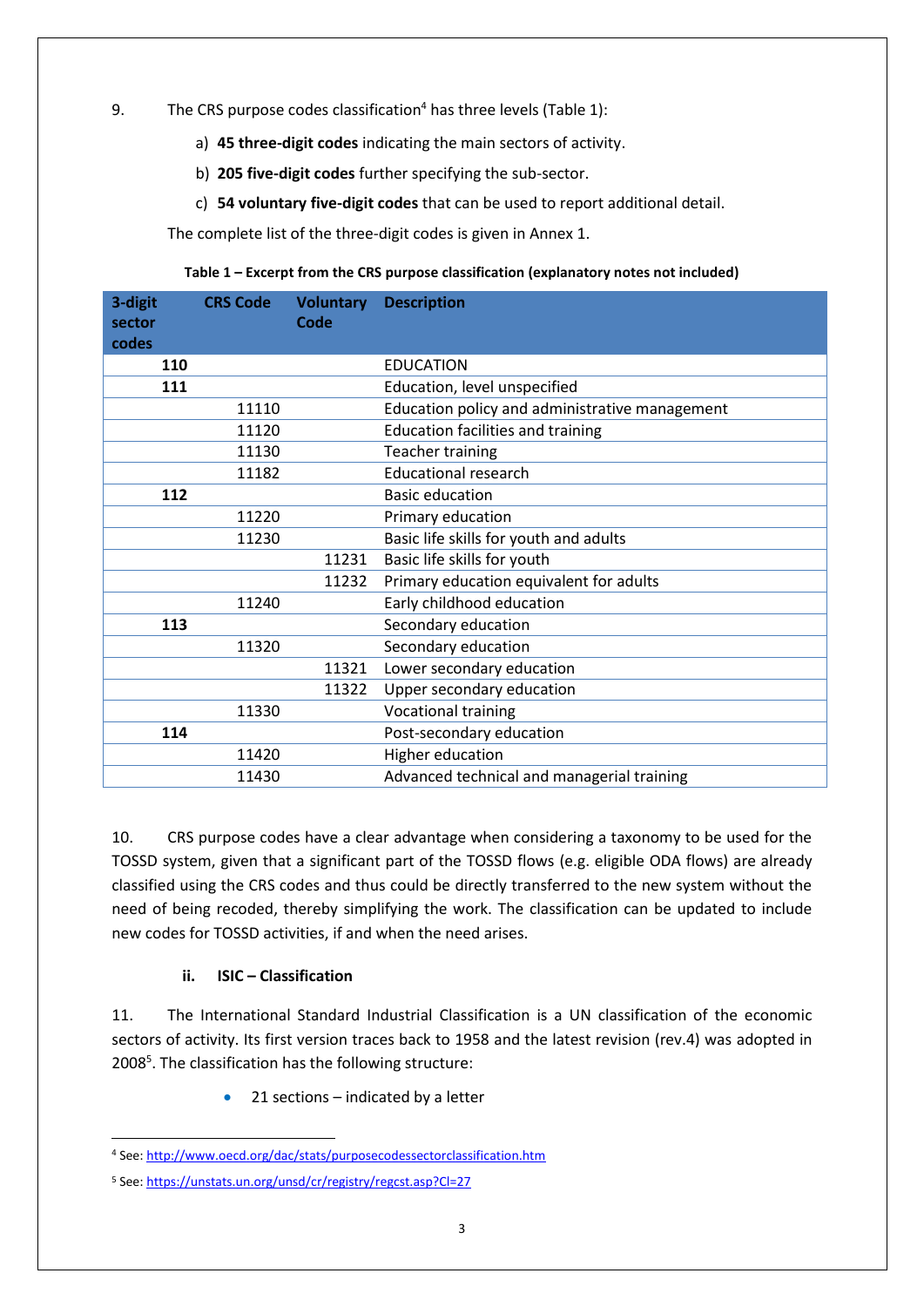- 9. The CRS purpose codes classification<sup>4</sup> has three levels (Table 1):
	- a) **45 three-digit codes** indicating the main sectors of activity.
	- b) **205 five-digit codes** further specifying the sub-sector.
	- c) **54 voluntary five-digit codes** that can be used to report additional detail.

The complete list of the three-digit codes is given in Annex 1.

| 3-digit<br>sector<br>codes | <b>CRS Code</b> | <b>Voluntary</b><br>Code | <b>Description</b>                             |
|----------------------------|-----------------|--------------------------|------------------------------------------------|
| 110                        |                 |                          | <b>EDUCATION</b>                               |
| 111                        |                 |                          | Education, level unspecified                   |
|                            | 11110           |                          | Education policy and administrative management |
|                            | 11120           |                          | <b>Education facilities and training</b>       |
|                            | 11130           |                          | <b>Teacher training</b>                        |
|                            | 11182           |                          | <b>Educational research</b>                    |
| 112                        |                 |                          | <b>Basic education</b>                         |
|                            | 11220           |                          | Primary education                              |
|                            | 11230           |                          | Basic life skills for youth and adults         |
|                            |                 | 11231                    | Basic life skills for youth                    |
|                            |                 | 11232                    | Primary education equivalent for adults        |
|                            | 11240           |                          | Early childhood education                      |
| 113                        |                 |                          | Secondary education                            |
|                            | 11320           |                          | Secondary education                            |
|                            |                 | 11321                    | Lower secondary education                      |
|                            |                 | 11322                    | Upper secondary education                      |
|                            | 11330           |                          | Vocational training                            |
| 114                        |                 |                          | Post-secondary education                       |
|                            | 11420           |                          | Higher education                               |
|                            | 11430           |                          | Advanced technical and managerial training     |

10. CRS purpose codes have a clear advantage when considering a taxonomy to be used for the TOSSD system, given that a significant part of the TOSSD flows (e.g. eligible ODA flows) are already classified using the CRS codes and thus could be directly transferred to the new system without the need of being recoded, thereby simplifying the work. The classification can be updated to include new codes for TOSSD activities, if and when the need arises.

## **ii. ISIC – Classification**

11. The International Standard Industrial Classification is a UN classification of the economic sectors of activity. Its first version traces back to 1958 and the latest revision (rev.4) was adopted in 2008<sup>5</sup>. The classification has the following structure:

 $\bullet$  21 sections – indicated by a letter

**<sup>.</sup>** <sup>4</sup> See[: http://www.oecd.org/dac/stats/purposecodessectorclassification.htm](http://www.oecd.org/dac/stats/purposecodessectorclassification.htm)

<sup>5</sup> See[: https://unstats.un.org/unsd/cr/registry/regcst.asp?Cl=27](https://unstats.un.org/unsd/cr/registry/regcst.asp?Cl=27)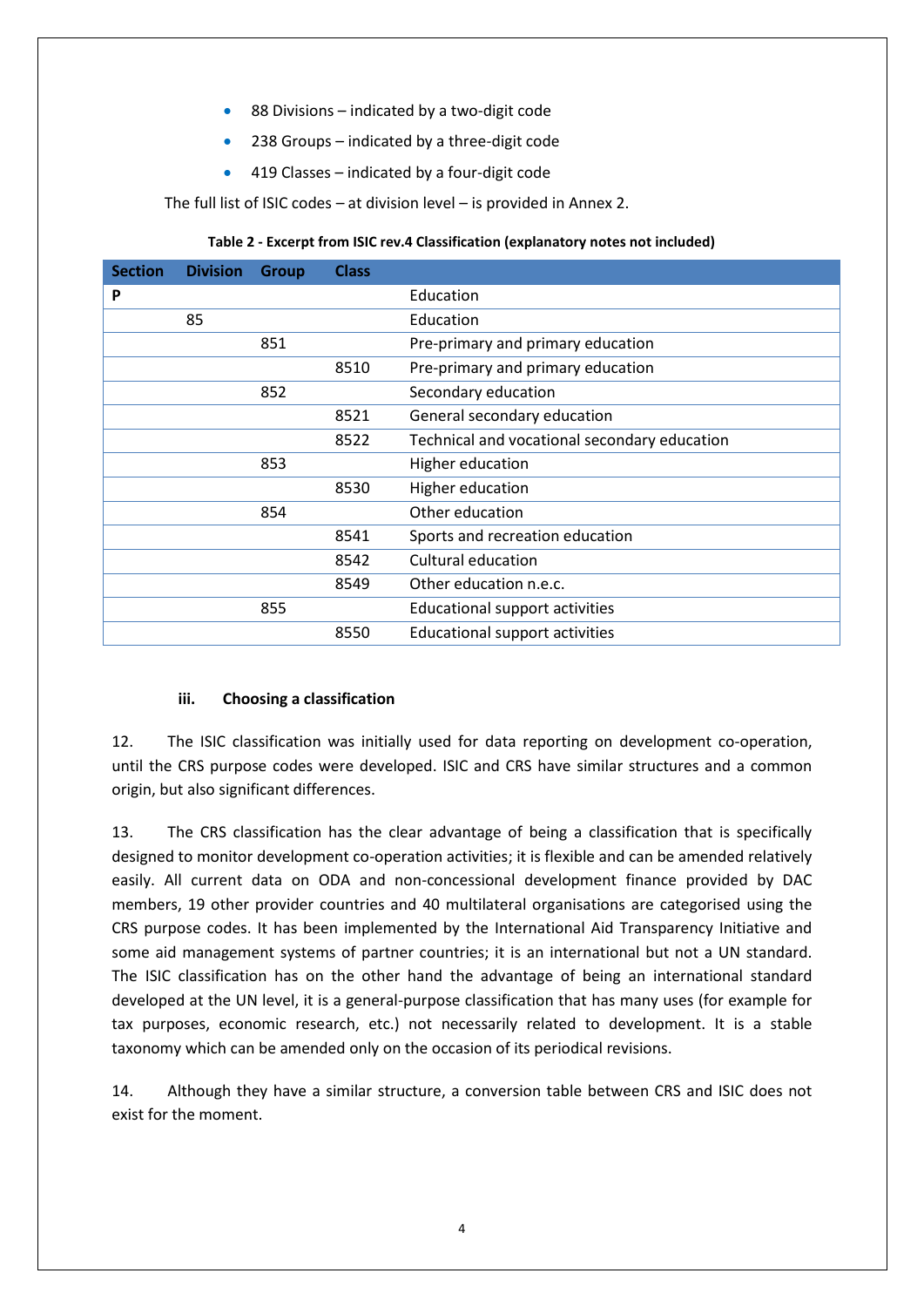- 88 Divisions indicated by a two-digit code
- 238 Groups indicated by a three-digit code
- 419 Classes indicated by a four-digit code

The full list of ISIC codes – at division level – is provided in Annex 2.

| <b>Section</b> | <b>Division</b> | <b>Group</b> | <b>Class</b> |                                              |
|----------------|-----------------|--------------|--------------|----------------------------------------------|
| P              |                 |              |              | Education                                    |
|                | 85              |              |              | Education                                    |
|                |                 | 851          |              | Pre-primary and primary education            |
|                |                 |              | 8510         | Pre-primary and primary education            |
|                |                 | 852          |              | Secondary education                          |
|                |                 |              | 8521         | General secondary education                  |
|                |                 |              | 8522         | Technical and vocational secondary education |
|                |                 | 853          |              | Higher education                             |
|                |                 |              | 8530         | Higher education                             |
|                |                 | 854          |              | Other education                              |
|                |                 |              | 8541         | Sports and recreation education              |
|                |                 |              | 8542         | Cultural education                           |
|                |                 |              | 8549         | Other education n.e.c.                       |
|                |                 | 855          |              | <b>Educational support activities</b>        |
|                |                 |              | 8550         | <b>Educational support activities</b>        |

#### **Table 2 - Excerpt from ISIC rev.4 Classification (explanatory notes not included)**

#### **iii. Choosing a classification**

12. The ISIC classification was initially used for data reporting on development co-operation, until the CRS purpose codes were developed. ISIC and CRS have similar structures and a common origin, but also significant differences.

13. The CRS classification has the clear advantage of being a classification that is specifically designed to monitor development co-operation activities; it is flexible and can be amended relatively easily. All current data on ODA and non-concessional development finance provided by DAC members, 19 other provider countries and 40 multilateral organisations are categorised using the CRS purpose codes. It has been implemented by the International Aid Transparency Initiative and some aid management systems of partner countries; it is an international but not a UN standard. The ISIC classification has on the other hand the advantage of being an international standard developed at the UN level, it is a general-purpose classification that has many uses (for example for tax purposes, economic research, etc.) not necessarily related to development. It is a stable taxonomy which can be amended only on the occasion of its periodical revisions.

14. Although they have a similar structure, a conversion table between CRS and ISIC does not exist for the moment.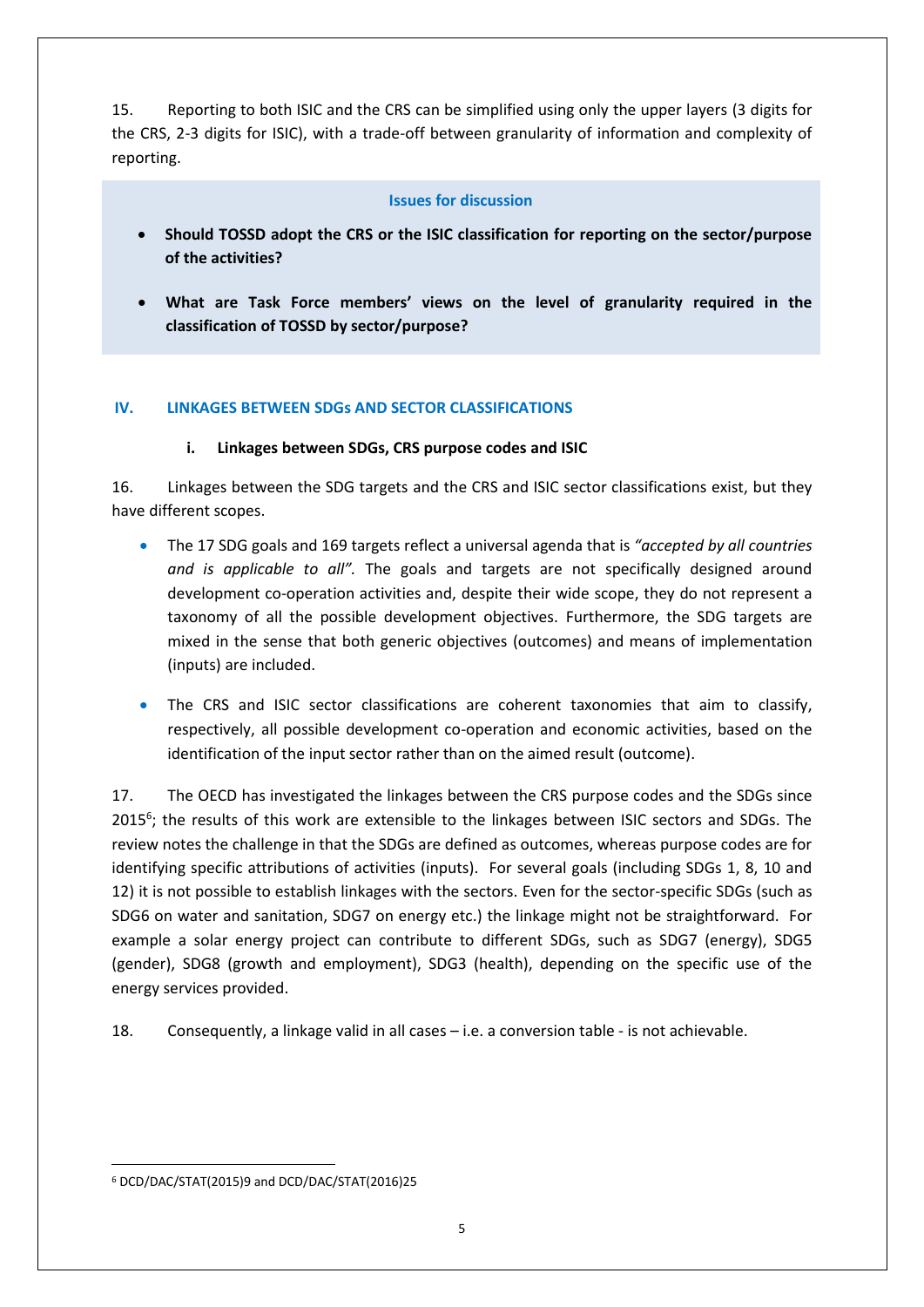15. Reporting to both ISIC and the CRS can be simplified using only the upper layers (3 digits for the CRS, 2-3 digits for ISIC), with a trade-off between granularity of information and complexity of reporting.

#### **Issues for discussion**

- **Should TOSSD adopt the CRS or the ISIC classification for reporting on the sector/purpose of the activities?**
- **What are Task Force members' views on the level of granularity required in the classification of TOSSD by sector/purpose?**

### **IV. LINKAGES BETWEEN SDGs AND SECTOR CLASSIFICATIONS**

#### **i. Linkages between SDGs, CRS purpose codes and ISIC**

16. Linkages between the SDG targets and the CRS and ISIC sector classifications exist, but they have different scopes.

- The 17 SDG goals and 169 targets reflect a universal agenda that is *"accepted by all countries and is applicable to all".* The goals and targets are not specifically designed around development co-operation activities and, despite their wide scope, they do not represent a taxonomy of all the possible development objectives. Furthermore, the SDG targets are mixed in the sense that both generic objectives (outcomes) and means of implementation (inputs) are included.
- The CRS and ISIC sector classifications are coherent taxonomies that aim to classify, respectively, all possible development co-operation and economic activities, based on the identification of the input sector rather than on the aimed result (outcome).

17. The OECD has investigated the linkages between the CRS purpose codes and the SDGs since 2015<sup>6</sup>; the results of this work are extensible to the linkages between ISIC sectors and SDGs. The review notes the challenge in that the SDGs are defined as outcomes, whereas purpose codes are for identifying specific attributions of activities (inputs). For several goals (including SDGs 1, 8, 10 and 12) it is not possible to establish linkages with the sectors. Even for the sector-specific SDGs (such as SDG6 on water and sanitation, SDG7 on energy etc.) the linkage might not be straightforward. For example a solar energy project can contribute to different SDGs, such as SDG7 (energy), SDG5 (gender), SDG8 (growth and employment), SDG3 (health), depending on the specific use of the energy services provided.

18. Consequently, a linkage valid in all cases – i.e. a conversion table - is not achievable.

<sup>1</sup> <sup>6</sup> DCD/DAC/STAT(2015)9 and DCD/DAC/STAT(2016)25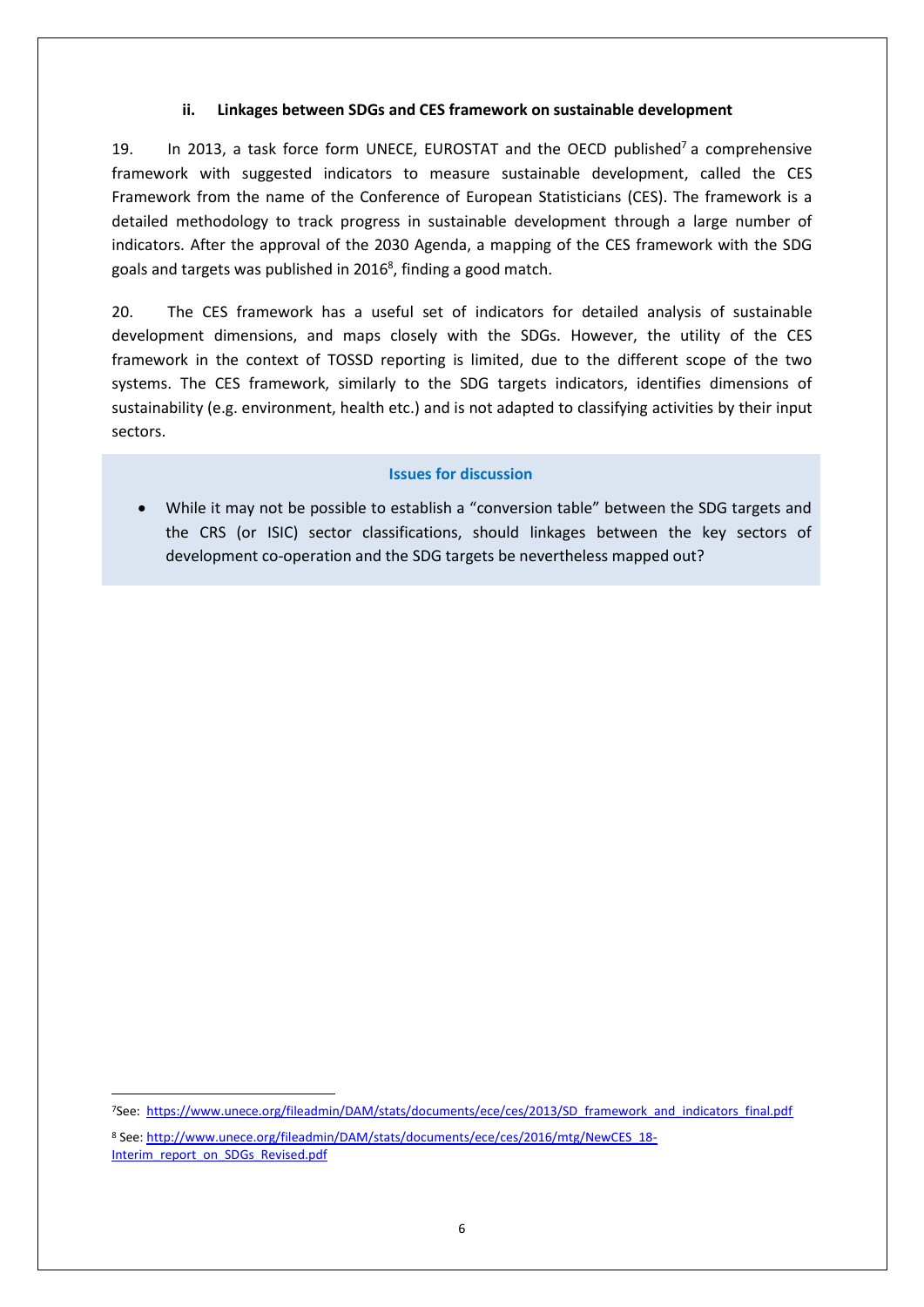#### **ii. Linkages between SDGs and CES framework on sustainable development**

19. In 2013, a task force form UNECE, EUROSTAT and the OECD published<sup>7</sup> a comprehensive framework with suggested indicators to measure sustainable development, called the CES Framework from the name of the Conference of European Statisticians (CES). The framework is a detailed methodology to track progress in sustainable development through a large number of indicators. After the approval of the 2030 Agenda, a mapping of the CES framework with the SDG goals and targets was published in  $2016^8$ , finding a good match.

20. The CES framework has a useful set of indicators for detailed analysis of sustainable development dimensions, and maps closely with the SDGs. However, the utility of the CES framework in the context of TOSSD reporting is limited, due to the different scope of the two systems. The CES framework, similarly to the SDG targets indicators, identifies dimensions of sustainability (e.g. environment, health etc.) and is not adapted to classifying activities by their input sectors.

#### **Issues for discussion**

 While it may not be possible to establish a "conversion table" between the SDG targets and the CRS (or ISIC) sector classifications, should linkages between the key sectors of development co-operation and the SDG targets be nevertheless mapped out?

<sup>7</sup>See: [https://www.unece.org/fileadmin/DAM/stats/documents/ece/ces/2013/SD\\_framework\\_and\\_indicators\\_final.pdf](https://www.unece.org/fileadmin/DAM/stats/documents/ece/ces/2013/SD_framework_and_indicators_final.pdf)

**.** 

<sup>8</sup> See[: http://www.unece.org/fileadmin/DAM/stats/documents/ece/ces/2016/mtg/NewCES\\_18-](http://www.unece.org/fileadmin/DAM/stats/documents/ece/ces/2016/mtg/NewCES_18-Interim_report_on_SDGs_Revised.pdf) [Interim\\_report\\_on\\_SDGs\\_Revised.pdf](http://www.unece.org/fileadmin/DAM/stats/documents/ece/ces/2016/mtg/NewCES_18-Interim_report_on_SDGs_Revised.pdf)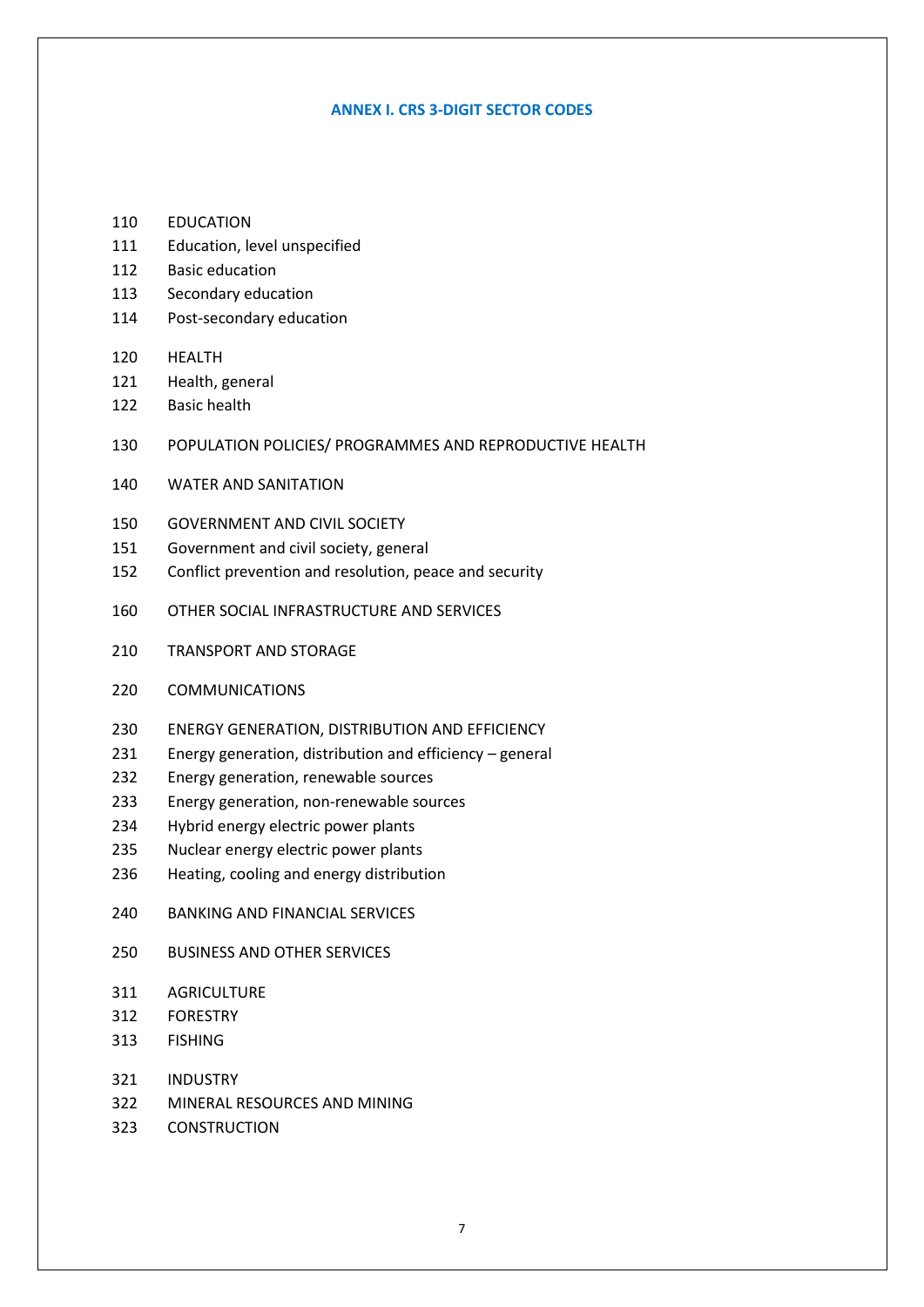#### **ANNEX I. CRS 3-DIGIT SECTOR CODES**

- EDUCATION
- Education, level unspecified
- Basic education
- Secondary education
- Post-secondary education
- HEALTH
- Health, general
- Basic health
- POPULATION POLICIES/ PROGRAMMES AND REPRODUCTIVE HEALTH
- WATER AND SANITATION
- GOVERNMENT AND CIVIL SOCIETY
- Government and civil society, general
- Conflict prevention and resolution, peace and security
- OTHER SOCIAL INFRASTRUCTURE AND SERVICES
- TRANSPORT AND STORAGE
- COMMUNICATIONS
- ENERGY GENERATION, DISTRIBUTION AND EFFICIENCY
- Energy generation, distribution and efficiency general
- Energy generation, renewable sources
- Energy generation, non-renewable sources
- Hybrid energy electric power plants
- Nuclear energy electric power plants
- Heating, cooling and energy distribution
- BANKING AND FINANCIAL SERVICES
- BUSINESS AND OTHER SERVICES
- AGRICULTURE
- FORESTRY
- FISHING
- INDUSTRY
- MINERAL RESOURCES AND MINING
- CONSTRUCTION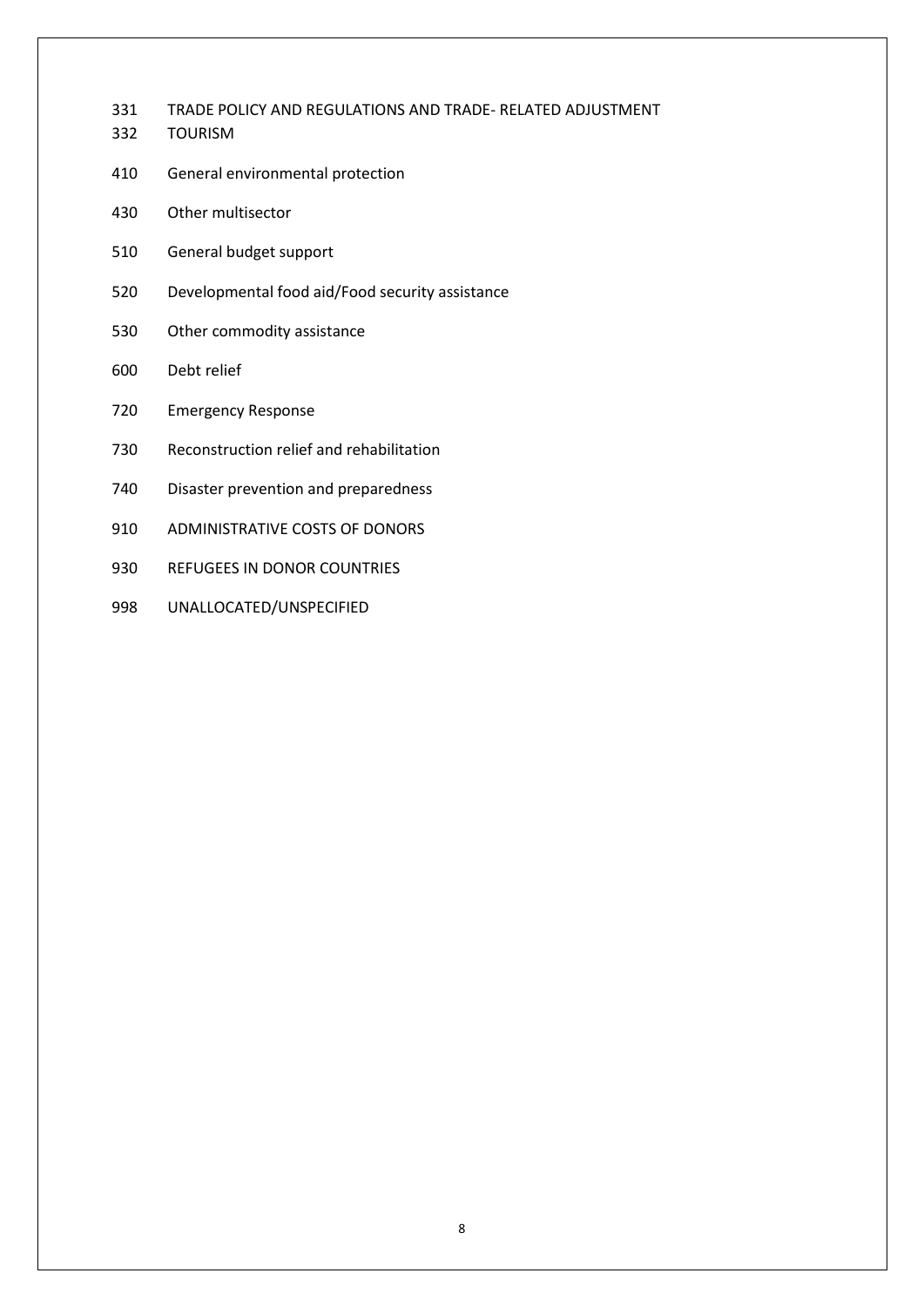- TRADE POLICY AND REGULATIONS AND TRADE- RELATED ADJUSTMENT
- TOURISM
- General environmental protection
- Other multisector
- General budget support
- Developmental food aid/Food security assistance
- Other commodity assistance
- Debt relief
- Emergency Response
- Reconstruction relief and rehabilitation
- Disaster prevention and preparedness
- ADMINISTRATIVE COSTS OF DONORS
- REFUGEES IN DONOR COUNTRIES
- UNALLOCATED/UNSPECIFIED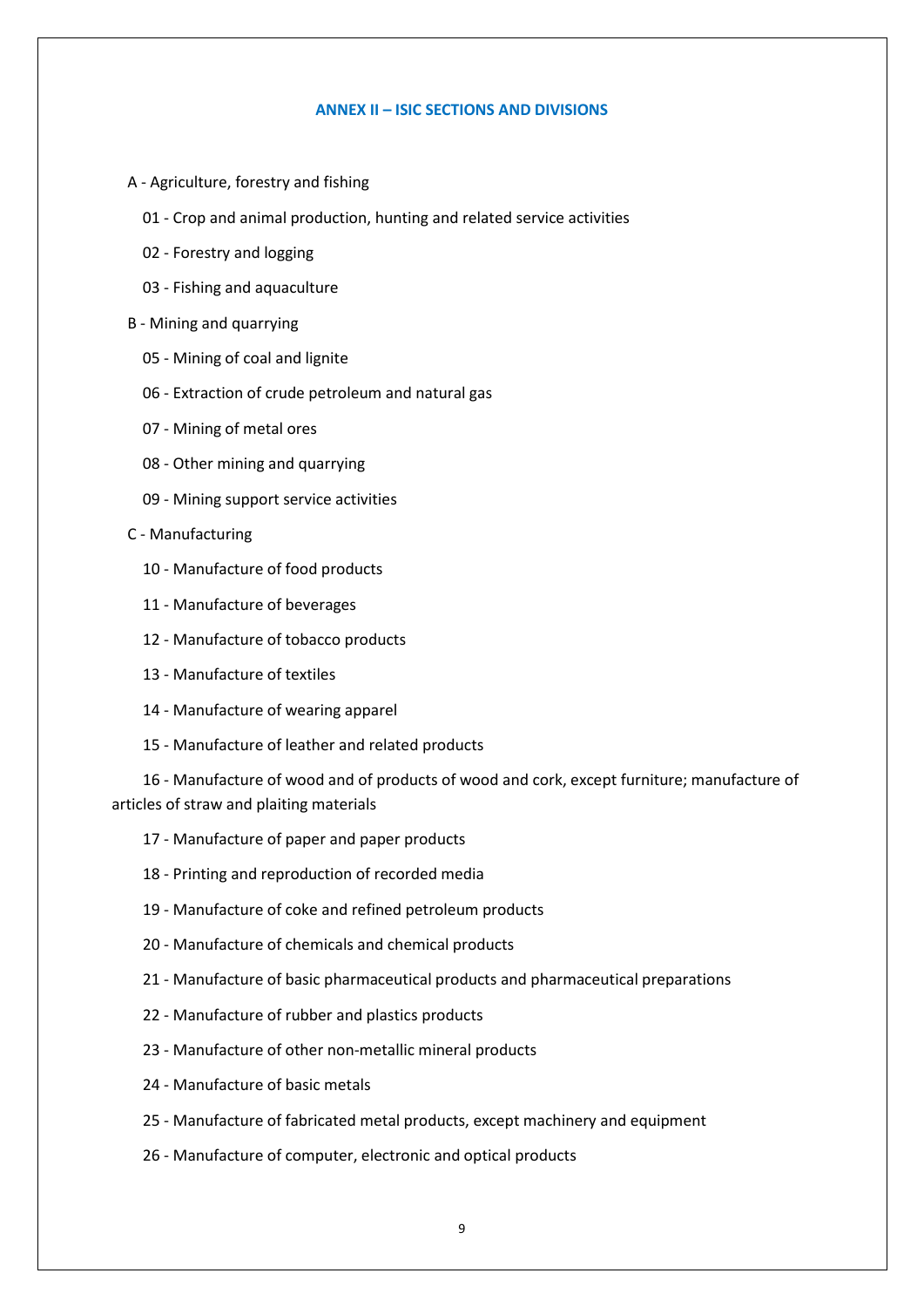#### **ANNEX II – ISIC SECTIONS AND DIVISIONS**

- A Agriculture, forestry and fishing
	- 01 Crop and animal production, hunting and related service activities
	- 02 Forestry and logging
	- 03 Fishing and aquaculture
- B Mining and quarrying
	- 05 Mining of coal and lignite
	- 06 Extraction of crude petroleum and natural gas
	- 07 Mining of metal ores
	- 08 Other mining and quarrying
	- 09 Mining support service activities
- C Manufacturing
	- 10 Manufacture of food products
	- 11 Manufacture of beverages
	- 12 Manufacture of tobacco products
	- 13 Manufacture of textiles
	- 14 Manufacture of wearing apparel
	- 15 Manufacture of leather and related products

 16 - Manufacture of wood and of products of wood and cork, except furniture; manufacture of articles of straw and plaiting materials

- 17 Manufacture of paper and paper products
- 18 Printing and reproduction of recorded media
- 19 Manufacture of coke and refined petroleum products
- 20 Manufacture of chemicals and chemical products
- 21 Manufacture of basic pharmaceutical products and pharmaceutical preparations
- 22 Manufacture of rubber and plastics products
- 23 Manufacture of other non-metallic mineral products
- 24 Manufacture of basic metals
- 25 Manufacture of fabricated metal products, except machinery and equipment
- 26 Manufacture of computer, electronic and optical products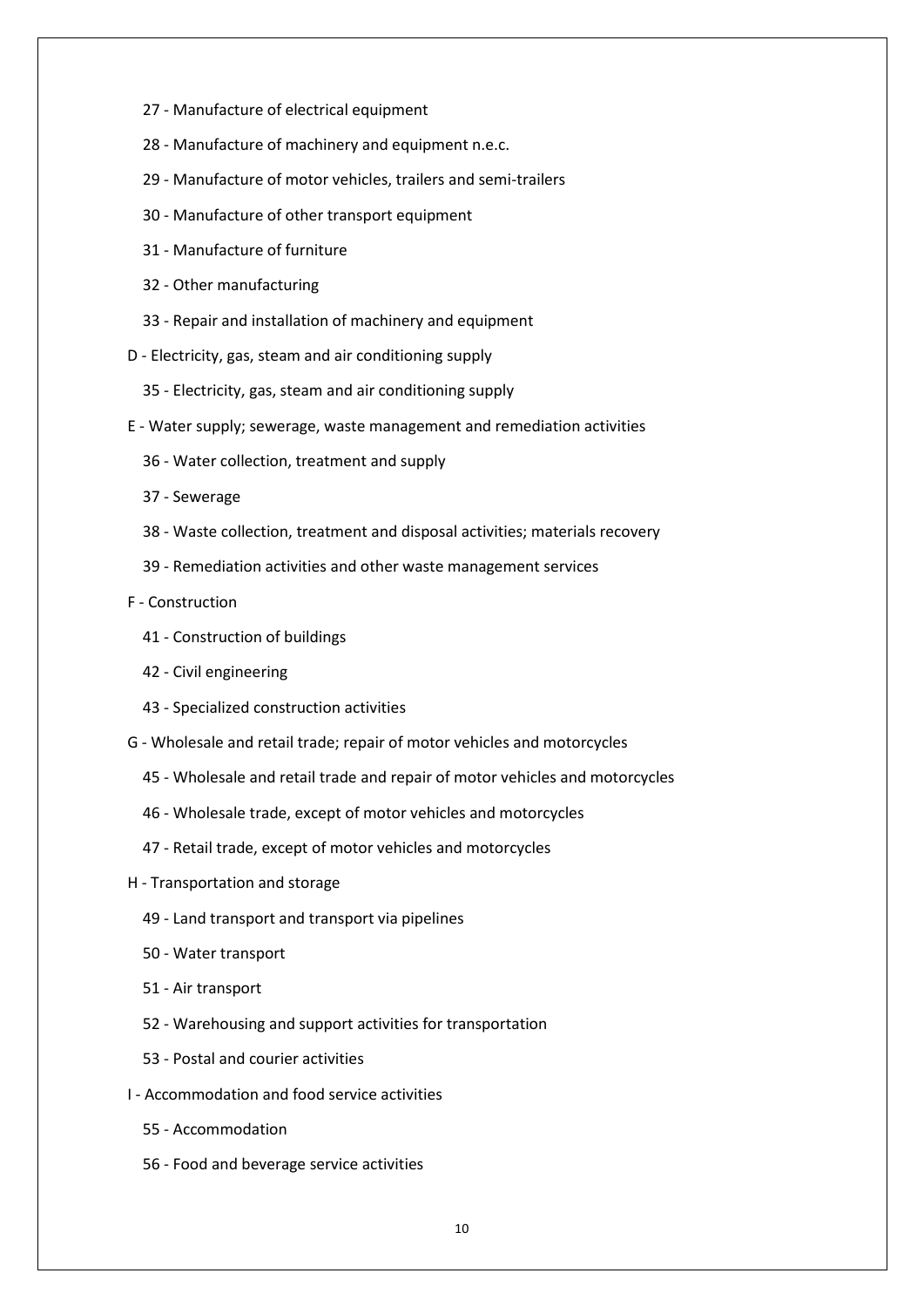- 27 Manufacture of electrical equipment
- 28 Manufacture of machinery and equipment n.e.c.
- 29 Manufacture of motor vehicles, trailers and semi-trailers
- 30 Manufacture of other transport equipment
- 31 Manufacture of furniture
- 32 Other manufacturing
- 33 Repair and installation of machinery and equipment
- D Electricity, gas, steam and air conditioning supply
	- 35 Electricity, gas, steam and air conditioning supply
- E Water supply; sewerage, waste management and remediation activities
	- 36 Water collection, treatment and supply
	- 37 Sewerage
	- 38 Waste collection, treatment and disposal activities; materials recovery
	- 39 Remediation activities and other waste management services
- F Construction
	- 41 Construction of buildings
	- 42 Civil engineering
	- 43 Specialized construction activities
- G Wholesale and retail trade; repair of motor vehicles and motorcycles
	- 45 Wholesale and retail trade and repair of motor vehicles and motorcycles
	- 46 Wholesale trade, except of motor vehicles and motorcycles
	- 47 Retail trade, except of motor vehicles and motorcycles
- H Transportation and storage
	- 49 Land transport and transport via pipelines
	- 50 Water transport
	- 51 Air transport
	- 52 Warehousing and support activities for transportation
	- 53 Postal and courier activities
- I Accommodation and food service activities
	- 55 Accommodation
	- 56 Food and beverage service activities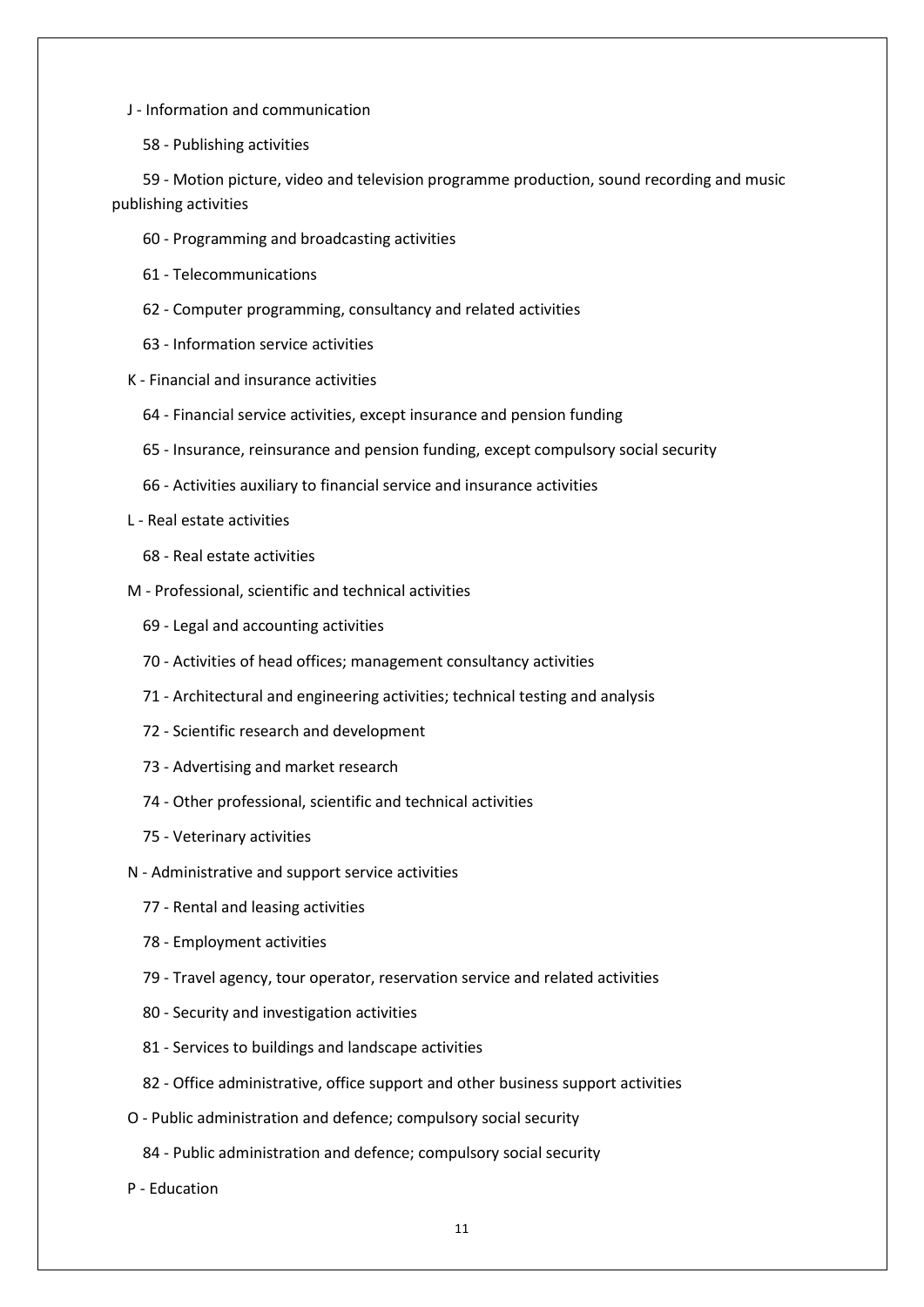- J Information and communication
	- 58 Publishing activities

 59 - Motion picture, video and television programme production, sound recording and music publishing activities

- 60 Programming and broadcasting activities
- 61 Telecommunications
- 62 Computer programming, consultancy and related activities
- 63 Information service activities
- K Financial and insurance activities
	- 64 Financial service activities, except insurance and pension funding
	- 65 Insurance, reinsurance and pension funding, except compulsory social security
	- 66 Activities auxiliary to financial service and insurance activities
- L Real estate activities
	- 68 Real estate activities
- M Professional, scientific and technical activities
	- 69 Legal and accounting activities
	- 70 Activities of head offices; management consultancy activities
	- 71 Architectural and engineering activities; technical testing and analysis
	- 72 Scientific research and development
	- 73 Advertising and market research
	- 74 Other professional, scientific and technical activities
	- 75 Veterinary activities
- N Administrative and support service activities
	- 77 Rental and leasing activities
	- 78 Employment activities
	- 79 Travel agency, tour operator, reservation service and related activities
	- 80 Security and investigation activities
	- 81 Services to buildings and landscape activities
	- 82 Office administrative, office support and other business support activities
- O Public administration and defence; compulsory social security
	- 84 Public administration and defence; compulsory social security
- P Education